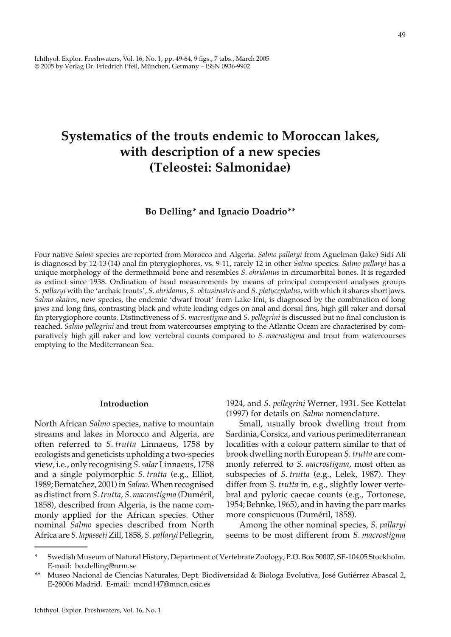Ichthyol. Explor. Freshwaters, Vol. 16, No. 1, pp. 49-64, 9 figs., 7 tabs., March 2005 © 2005 by Verlag Dr. Friedrich Pfeil, München, Germany – ISSN 0936-9902

## **Systematics of the trouts endemic to Moroccan lakes, with description of a new species (Teleostei: Salmonidae)**

#### **Bo Delling**\* **and Ignacio Doadrio**\*\*

Four native *Salmo* species are reported from Morocco and Algeria. *Salmo pallaryi* from Aguelman (lake) Sidi Ali is diagnosed by 12-13 (14) anal fin pterygiophores, vs. 9-11, rarely 12 in other *Salmo* species. *Salmo pallaryi* has a unique morphology of the dermethmoid bone and resembles *S. ohridanus* in circumorbital bones. It is regarded as extinct since 1938. Ordination of head measurements by means of principal component analyses groups *S*. *pallaryi* with the 'archaic trouts', *S*. *ohridanus*, *S. obtusirostris* and *S. platycephalus*, with which it shares short jaws. *Salmo akairos*, new species, the endemic 'dwarf trout' from Lake Ifni, is diagnosed by the combination of long jaws and long fins, contrasting black and white leading edges on anal and dorsal fins, high gill raker and dorsal fin pterygiophore counts. Distinctiveness of *S. macrostigma* and *S. pellegrini* is discussed but no final conclusion is reached. *Salmo pellegrini* and trout from watercourses emptying to the Atlantic Ocean are characterised by comparatively high gill raker and low vertebral counts compared to *S*. *macrostigma* and trout from watercourses emptying to the Mediterranean Sea.

#### **Introduction**

North African *Salmo* species, native to mountain streams and lakes in Morocco and Algeria, are often referred to *S*. *trutta* Linnaeus, 1758 by ecologists and geneticists upholding a two-species view, i.e., only recognising *S*. *salar* Linnaeus, 1758 and a single polymorphic *S*. *trutta* (e.g., Elliot, 1989; Bernatchez, 2001) in *Salmo*. When recognised as distinct from *S*. *trutta*, *S*. *macrostigma* (Duméril, 1858), described from Algeria, is the name commonly applied for the African species. Other nominal *Salmo* species described from North Africa are *S. lapasseti* Zill, 1858, *S. pallaryi* Pellegrin, 1924, and *S. pellegrini* Werner, 1931. See Kottelat (1997) for details on *Salmo* nomenclature.

 Small, usually brook dwelling trout from Sardinia, Corsica, and various perimediterranean localities with a colour pattern similar to that of brook dwelling north European *S*. *trutta* are commonly referred to *S*. *macrostigma*, most often as subspecies of *S*. *trutta* (e.g., Lelek, 1987). They differ from *S*. *trutta* in, e.g., slightly lower vertebral and pyloric caecae counts (e.g., Tortonese, 1954; Behnke, 1965), and in having the parr marks more conspicuous (Duméril, 1858).

 Among the other nominal species, *S*. *pallaryi* seems to be most different from *S*. *macrostigma*

Swedish Museum of Natural History, Department of Vertebrate Zoology, P.O. Box 50007, SE-104 05 Stockholm. E-mail: bo.delling@nrm.se

<sup>\*\*</sup> Museo Nacional de Ciencias Naturales, Dept. Biodiversidad & Biologa Evolutiva, José Gutiérrez Abascal 2, E-28006 Madrid. E-mail: mcnd147@mncn.csic.es